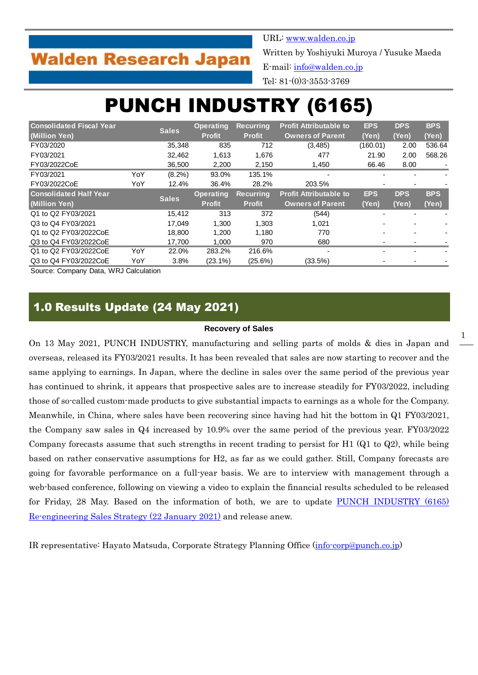# **Walden Research Japan**

URL: [www.walden.co.jp](http://www.walden.co.jp/)

Written by Yoshiyuki Muroya / Yusuke Maeda

E-mail: [info@walden.co.jp](mailto:info@walden.co.jp)

Tel: 81-(0)3-3553-3769

# PUNCH INDUSTRY (6165)

| <b>Consolidated Fiscal Year</b> |     | <b>Sales</b> | <b>Operating</b> | <b>Recurring</b> | <b>Profit Attributable to</b> | <b>EPS</b> | <b>DPS</b> | <b>BPS</b> |
|---------------------------------|-----|--------------|------------------|------------------|-------------------------------|------------|------------|------------|
| (Million Yen)                   |     |              | <b>Profit</b>    | <b>Profit</b>    | <b>Owners of Parent</b>       | (Yen)      | (Yen)      | (Yen)      |
| FY03/2020                       |     | 35.348       | 835              | 712              | (3, 485)                      | (160.01)   | 2.00       | 536.64     |
| FY03/2021                       |     | 32.462       | 1,613            | 1,676            | 477                           | 21.90      | 2.00       | 568.26     |
| FY03/2022CoE                    |     | 36,500       | 2,200            | 2,150            | 1,450                         | 66.46      | 8.00       |            |
| FY03/2021                       | YoY | $(8.2\%)$    | 93.0%            | 135.1%           |                               |            |            |            |
| FY03/2022CoE                    | YoY | 12.4%        | 36.4%            | 28.2%            | 203.5%                        |            |            |            |
| <b>Consolidated Half Year</b>   |     | <b>Sales</b> | <b>Operating</b> | <b>Recurring</b> | <b>Profit Attributable to</b> | <b>EPS</b> | <b>DPS</b> | <b>BPS</b> |
| (Million Yen)                   |     |              | <b>Profit</b>    | <b>Profit</b>    | <b>Owners of Parent</b>       | (Yen)      | (Yen)      | (Yen)      |
| Q1 to Q2 FY03/2021              |     | 15.412       | 313              | 372              | (544)                         |            |            |            |
| Q3 to Q4 FY03/2021              |     | 17.049       | 1.300            | 1,303            | 1,021                         |            |            |            |
| Q1 to Q2 FY03/2022CoE           |     | 18.800       | 1.200            | 1.180            | 770                           |            |            |            |
| Q3 to Q4 FY03/2022CoE           |     | 17,700       | 1.000            | 970              | 680                           |            |            |            |
| Q1 to Q2 FY03/2022CoE           | YoY | 22.0%        | 283.2%           | 216.6%           |                               |            |            |            |
| Q3 to Q4 FY03/2022CoE           | YoY | 3.8%         | $(23.1\%)$       | (25.6%)          | (33.5%)                       |            |            |            |

Source: Company Data, WRJ Calculation

## 1.0 Results Update (24 May 2021)

#### **Recovery of Sales**

On 13 May 2021, PUNCH INDUSTRY, manufacturing and selling parts of molds & dies in Japan and overseas, released its FY03/2021 results. It has been revealed that sales are now starting to recover and the same applying to earnings. In Japan, where the decline in sales over the same period of the previous year has continued to shrink, it appears that prospective sales are to increase steadily for FY03/2022, including those of so-called custom-made products to give substantial impacts to earnings as a whole for the Company. Meanwhile, in China, where sales have been recovering since having had hit the bottom in Q1 FY03/2021, the Company saw sales in Q4 increased by 10.9% over the same period of the previous year. FY03/2022 Company forecasts assume that such strengths in recent trading to persist for H1 (Q1 to Q2), while being based on rather conservative assumptions for H2, as far as we could gather. Still, Company forecasts are going for favorable performance on a full-year basis. We are to interview with management through a web-based conference, following on viewing a video to explain the financial results scheduled to be released for Friday, 28 May. Based on the information of both, we are to update [PUNCH INDUSTRY \(6165\)](http://walden.co.jp/pdf/6165_punch_2021_03_q2_report_2021_01_22_english.pdf)  [Re-engineering Sales Strategy \(22 January 2021\)](http://walden.co.jp/pdf/6165_punch_2021_03_q2_report_2021_01_22_english.pdf) and release anew.

IR representative: Hayato Matsuda, Corporate Strategy Planning Office [\(info-corp@punch.co.jp\)](mailto:info-corp@punch.co.jp)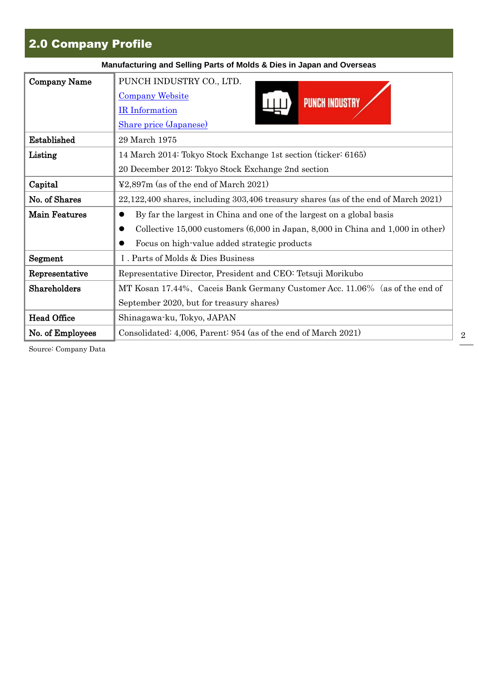# 2.0 Company Profile

| Manufacturing and Selling Parts of Molds & Dies in Japan and Overseas |                                                                                                                                                                                                                                    |  |  |  |  |  |  |
|-----------------------------------------------------------------------|------------------------------------------------------------------------------------------------------------------------------------------------------------------------------------------------------------------------------------|--|--|--|--|--|--|
| <b>Company Name</b>                                                   | PUNCH INDUSTRY CO., LTD.<br><b>Company Website</b><br><b>PUNCH INDUSTRY</b><br>IR Information<br>Share price (Japanese)                                                                                                            |  |  |  |  |  |  |
| Established                                                           | 29 March 1975                                                                                                                                                                                                                      |  |  |  |  |  |  |
| Listing                                                               | 14 March 2014: Tokyo Stock Exchange 1st section (ticker: 6165)                                                                                                                                                                     |  |  |  |  |  |  |
|                                                                       | 20 December 2012: Tokyo Stock Exchange 2nd section                                                                                                                                                                                 |  |  |  |  |  |  |
| Capital                                                               | $\textcolor{blue}{\textless}2.897\text{m}$ (as of the end of March 2021)                                                                                                                                                           |  |  |  |  |  |  |
| No. of Shares                                                         | $22,122,400$ shares, including $303,406$ treasury shares (as of the end of March $2021$ )                                                                                                                                          |  |  |  |  |  |  |
| <b>Main Features</b>                                                  | By far the largest in China and one of the largest on a global basis<br>Collective 15,000 customers $(6,000 \text{ in Japan}, 8,000 \text{ in China and } 1,000 \text{ in other})$<br>Focus on high-value added strategic products |  |  |  |  |  |  |
| Segment                                                               | I. Parts of Molds & Dies Business                                                                                                                                                                                                  |  |  |  |  |  |  |
| Representative                                                        | Representative Director, President and CEO: Tetsuji Morikubo                                                                                                                                                                       |  |  |  |  |  |  |
| Shareholders                                                          | MT Kosan 17.44%, Caceis Bank Germany Customer Acc. 11.06% (as of the end of                                                                                                                                                        |  |  |  |  |  |  |
|                                                                       | September 2020, but for treasury shares)                                                                                                                                                                                           |  |  |  |  |  |  |
| <b>Head Office</b>                                                    | Shinagawa-ku, Tokyo, JAPAN                                                                                                                                                                                                         |  |  |  |  |  |  |
| No. of Employees                                                      | Consolidated: 4,006, Parent: 954 (as of the end of March 2021)                                                                                                                                                                     |  |  |  |  |  |  |

Source: Company Data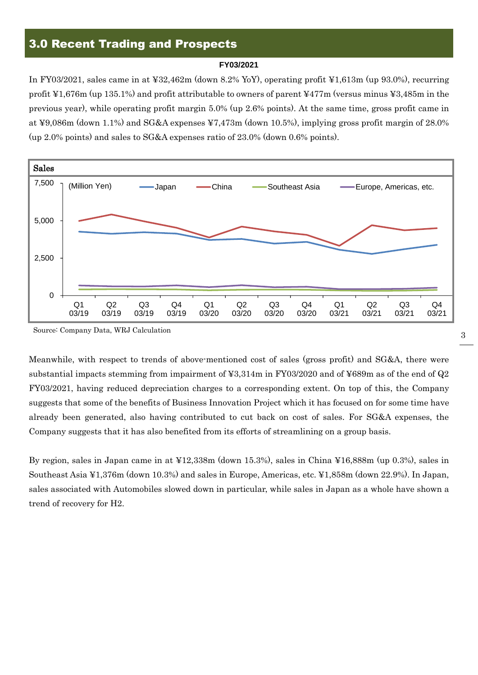## 3.0 Recent Trading and Prospects

#### **FY03/2021**

In FY03/2021, sales came in at ¥32,462m (down 8.2% YoY), operating profit ¥1,613m (up 93.0%), recurring profit ¥1,676m (up 135.1%) and profit attributable to owners of parent ¥477m (versus minus ¥3,485m in the previous year), while operating profit margin 5.0% (up 2.6% points). At the same time, gross profit came in at ¥9,086m (down 1.1%) and SG&A expenses ¥7,473m (down 10.5%), implying gross profit margin of 28.0% (up 2.0% points) and sales to SG&A expenses ratio of 23.0% (down 0.6% points).



Source: Company Data, WRJ Calculation

Meanwhile, with respect to trends of above-mentioned cost of sales (gross profit) and SG&A, there were substantial impacts stemming from impairment of ¥3,314m in FY03/2020 and of ¥689m as of the end of Q2 FY03/2021, having reduced depreciation charges to a corresponding extent. On top of this, the Company suggests that some of the benefits of Business Innovation Project which it has focused on for some time have already been generated, also having contributed to cut back on cost of sales. For SG&A expenses, the Company suggests that it has also benefited from its efforts of streamlining on a group basis.

By region, sales in Japan came in at ¥12,338m (down 15.3%), sales in China ¥16,888m (up 0.3%), sales in Southeast Asia ¥1,376m (down 10.3%) and sales in Europe, Americas, etc. ¥1,858m (down 22.9%). In Japan, sales associated with Automobiles slowed down in particular, while sales in Japan as a whole have shown a trend of recovery for H2.

3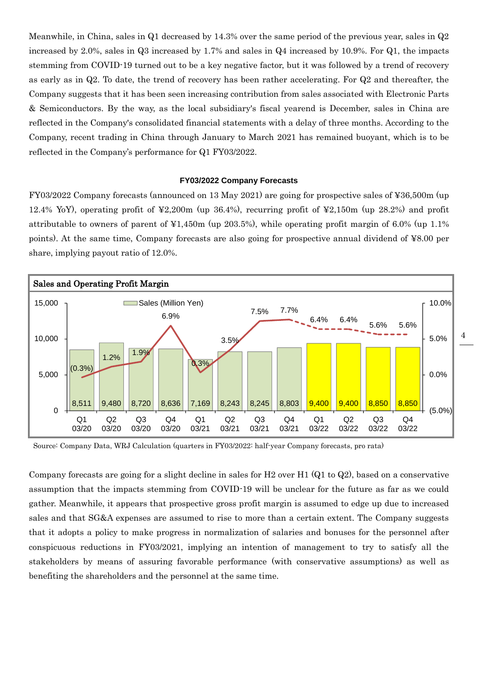Meanwhile, in China, sales in  $Q1$  decreased by 14.3% over the same period of the previous year, sales in  $Q2$ increased by 2.0%, sales in Q3 increased by 1.7% and sales in Q4 increased by 10.9%. For Q1, the impacts stemming from COVID-19 turned out to be a key negative factor, but it was followed by a trend of recovery as early as in Q2. To date, the trend of recovery has been rather accelerating. For Q2 and thereafter, the Company suggests that it has been seen increasing contribution from sales associated with Electronic Parts & Semiconductors. By the way, as the local subsidiary's fiscal yearend is December, sales in China are reflected in the Company's consolidated financial statements with a delay of three months. According to the Company, recent trading in China through January to March 2021 has remained buoyant, which is to be reflected in the Company's performance for Q1 FY03/2022.

### **FY03/2022 Company Forecasts**

FY03/2022 Company forecasts (announced on 13 May 2021) are going for prospective sales of ¥36,500m (up 12.4% YoY), operating profit of ¥2,200m (up 36.4%), recurring profit of ¥2,150m (up 28.2%) and profit attributable to owners of parent of  $\yen 1,450m$  (up 203.5%), while operating profit margin of 6.0% (up 1.1%) points). At the same time, Company forecasts are also going for prospective annual dividend of ¥8.00 per share, implying payout ratio of 12.0%.



Source: Company Data, WRJ Calculation (quarters in FY03/2022: half-year Company forecasts, pro rata)

Company forecasts are going for a slight decline in sales for H2 over H1 (Q1 to Q2), based on a conservative assumption that the impacts stemming from COVID-19 will be unclear for the future as far as we could gather. Meanwhile, it appears that prospective gross profit margin is assumed to edge up due to increased sales and that SG&A expenses are assumed to rise to more than a certain extent. The Company suggests that it adopts a policy to make progress in normalization of salaries and bonuses for the personnel after conspicuous reductions in FY03/2021, implying an intention of management to try to satisfy all the stakeholders by means of assuring favorable performance (with conservative assumptions) as well as benefiting the shareholders and the personnel at the same time.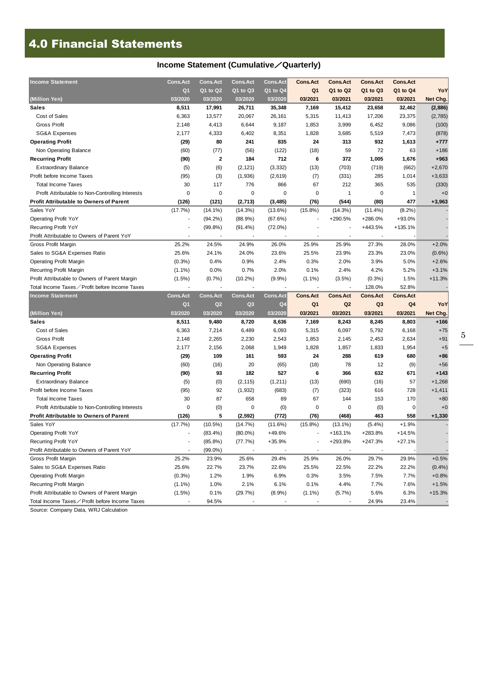# 4.0 Financial Statements

### **Income Statement (Cumulative**/**Quarterly)**

| <b>Income Statement</b>                          | <b>Cons.Act</b> | <b>Cons.Act</b>         | <b>Cons.Act</b> | <b>Cons.Act</b> | <b>Cons.Act</b> | <b>Cons.Act</b> | <b>Cons.Act</b> | <b>Cons.Act</b> |           |
|--------------------------------------------------|-----------------|-------------------------|-----------------|-----------------|-----------------|-----------------|-----------------|-----------------|-----------|
|                                                  | Q <sub>1</sub>  | Q1 to Q2                | Q1 to Q3        | Q1 to Q4        | Q <sub>1</sub>  | Q1 to Q2        | Q1 to Q3        | Q1 to Q4        | YoY       |
| (Million Yen)                                    | 03/2020         | 03/2020                 | 03/2020         | 03/2020         | 03/2021         | 03/2021         | 03/2021         | 03/2021         | Net Chg.  |
| <b>Sales</b>                                     | 8,511           | 17,991                  | 26,711          | 35,348          | 7,169           | 15,412          | 23,658          | 32,462          | (2,886)   |
| Cost of Sales                                    | 6,363           | 13,577                  | 20,067          | 26,161          | 5,315           | 11,413          | 17,206          | 23,375          | (2,785)   |
| <b>Gross Profit</b>                              | 2,148           | 4,413                   | 6,644           | 9,187           | 1,853           | 3,999           | 6,452           | 9,086           | (100)     |
| <b>SG&amp;A Expenses</b>                         | 2,177           | 4,333                   | 6,402           | 8,351           | 1,828           | 3,685           | 5,519           | 7,473           | (878)     |
| <b>Operating Profit</b>                          | (29)            | 80                      | 241             | 835             | 24              | 313             | 932             | 1,613           | $+777$    |
| Non Operating Balance                            | (60)            | (77)                    | (56)            | (122)           | (18)            | 59              | 72              | 63              | $+186$    |
| <b>Recurring Profit</b>                          | (90)            | $\overline{\mathbf{2}}$ | 184             | 712             | 6               | 372             | 1,005           | 1,676           | $+963$    |
| <b>Extraordinary Balance</b>                     | (5)             | (6)                     | (2, 121)        | (3, 332)        | (13)            | (703)           | (719)           | (662)           | $+2,670$  |
| Profit before Income Taxes                       | (95)            | (3)                     | (1,936)         | (2,619)         | (7)             | (331)           | 285             | 1,014           | $+3,633$  |
| <b>Total Income Taxes</b>                        | 30              | 117                     | 776             | 866             | 67              | 212             | 365             | 535             | (330)     |
| Profit Attributable to Non-Controlling Interests | $\mathbf 0$     | 0                       | $\pmb{0}$       | 0               | $\mathbf 0$     | 1               | 0               | 1               | $+0$      |
| <b>Profit Attributable to Owners of Parent</b>   | (126)           | (121)                   | (2,713)         | (3, 485)        | (76)            | (544)           | (80)            | 477             | $+3,963$  |
| Sales YoY                                        | (17.7%)         | $(14.1\%)$              | (14.3%)         | $(13.6\%)$      | $(15.8\%)$      | (14.3%)         | $(11.4\%)$      | $(8.2\%)$       |           |
| <b>Operating Profit YoY</b>                      |                 | $(94.2\%)$              | $(88.9\%)$      | (67.6%)         |                 | +290.5%         | +286.0%         | +93.0%          |           |
| <b>Recurring Profit YoY</b>                      |                 | (99.8%                  | $(91.4\%)$      | $(72.0\%)$      |                 |                 | +443.5%         | $+135.1%$       |           |
| Profit Attributable to Owners of Parent YoY      | ٠               |                         | $\blacksquare$  | $\overline{a}$  |                 | ٠               |                 |                 |           |
| Gross Profit Margin                              | 25.2%           | 24.5%                   | 24.9%           | 26.0%           | 25.9%           | 25.9%           | 27.3%           | 28.0%           | $+2.0%$   |
| Sales to SG&A Expenses Ratio                     | 25.6%           | 24.1%                   | 24.0%           | 23.6%           | 25.5%           | 23.9%           | 23.3%           | 23.0%           | $(0.6\%)$ |
| <b>Operating Profit Margin</b>                   | $(0.3\%)$       | 0.4%                    | 0.9%            | 2.4%            | 0.3%            | 2.0%            | 3.9%            | 5.0%            | $+2.6%$   |
| Recurring Profit Margin                          | $(1.1\%)$       | 0.0%                    | 0.7%            | 2.0%            | 0.1%            | 2.4%            | 4.2%            | 5.2%            | $+3.1%$   |
| Profit Attributable to Owners of Parent Margin   | $(1.5\%)$       | $(0.7\%)$               | $(10.2\%)$      | $(9.9\%)$       | $(1.1\%)$       | (3.5%)          | $(0.3\%)$       | 1.5%            | $+11.3%$  |
| Total Income Taxes / Profit before Income Taxes  |                 |                         |                 |                 |                 |                 | 128.0%          | 52.8%           |           |
|                                                  |                 |                         |                 |                 |                 |                 |                 |                 |           |
| <b>Income Statement</b>                          | <b>Cons.Act</b> | <b>Cons.Act</b>         | <b>Cons.Act</b> | <b>Cons.Act</b> | <b>Cons.Act</b> | <b>Cons.Act</b> | <b>Cons.Act</b> | <b>Cons.Act</b> |           |
|                                                  | Q <sub>1</sub>  | Q <sub>2</sub>          | Q3              | Q <sub>4</sub>  | Q <sub>1</sub>  | Q <sub>2</sub>  | Q <sub>3</sub>  | Q <sub>4</sub>  | YoY       |
| (Million Yen)                                    | 03/2020         | 03/2020                 | 03/2020         | 03/2020         | 03/2021         | 03/2021         | 03/2021         | 03/2021         | Net Chg.  |
| <b>Sales</b>                                     | 8,511           | 9,480                   | 8,720           | 8,636           | 7,169           | 8,243           | 8,245           | 8,803           | $+166$    |
| Cost of Sales                                    | 6,363           | 7,214                   | 6,489           | 6,093           | 5,315           | 6,097           | 5,792           | 6,168           | $+75$     |
| <b>Gross Profit</b>                              | 2,148           | 2,265                   | 2,230           | 2,543           | 1,853           | 2,145           | 2,453           | 2,634           | $+91$     |
| <b>SG&amp;A Expenses</b>                         | 2,177           | 2,156                   | 2,068           | 1,949           | 1,828           | 1,857           | 1,833           | 1,954           | $+5$      |
| <b>Operating Profit</b>                          | (29)            | 109                     | 161             | 593             | 24              | 288             | 619             | 680             | $+86$     |
| Non Operating Balance                            | (60)            | (16)                    | 20              | (65)            | (18)            | 78              | 12              | (9)             | $+56$     |
| <b>Recurring Profit</b>                          | (90)            | 93                      | 182             | 527             | 6               | 366             | 632             | 671             | $+143$    |
| <b>Extraordinary Balance</b>                     | (5)             | (0)                     | (2, 115)        | (1, 211)        | (13)            | (690)           | (16)            | 57              | $+1,268$  |
| Profit before Income Taxes                       | (95)            | 92                      | (1,932)         | (683)           | (7)             | (323)           | 616             | 728             | $+1,411$  |
| <b>Total Income Taxes</b>                        | 30              | 87                      | 658             | 89              | 67              | 144             | 153             | 170             | $+80$     |
| Profit Attributable to Non-Controlling Interests | 0               | (0)                     | 0               | (0)             | 0               | 0               | (0)             | 0               | $+0$      |
| <b>Profit Attributable to Owners of Parent</b>   | (126)           | 5                       | (2, 592)        | (772)           | (76)            | (468)           | 463             | 558             | $+1,330$  |
| Sales YoY                                        | (17.7%)         | $(10.5\%)$              | (14.7%)         | (11.6%)         | $(15.8\%)$      | $(13.1\%)$      | $(5.4\%)$       | $+1.9%$         |           |
| Operating Profit YoY                             |                 | $(83.4\%)$              | $(80.0\%)$      | +49.6%          |                 | $+163.1%$       | +283.8%         | $+14.5%$        |           |
| Recurring Profit YoY                             |                 | $(85.8\%)$              | (77.7%)         | +35.9%          |                 | +293.8%         | +247.3%         | $+27.1%$        |           |
| Profit Attributable to Owners of Parent YoY      |                 | $(99.0\%)$              |                 |                 |                 |                 |                 |                 |           |
| Gross Profit Margin                              | 25.2%           | 23.9%                   | 25.6%           | 29.4%           | 25.9%           | 26.0%           | 29.7%           | 29.9%           | $+0.5%$   |
| Sales to SG&A Expenses Ratio                     | 25.6%           | 22.7%                   | 23.7%           | 22.6%           | 25.5%           | 22.5%           | 22.2%           | 22.2%           | (0.4% )   |
| <b>Operating Profit Margin</b>                   | $(0.3\%)$       | 1.2%                    | 1.9%            | 6.9%            | 0.3%            | 3.5%            | 7.5%            | 7.7%            | $+0.8%$   |
| Recurring Profit Margin                          | $(1.1\%)$       | 1.0%                    | 2.1%            | 6.1%            | 0.1%            | 4.4%            | 7.7%            | 7.6%            | $+1.5%$   |
| Profit Attributable to Owners of Parent Margin   | (1.5%)          | 0.1%                    | (29.7%)         | $(8.9\%)$       | $(1.1\%)$       | (5.7%)          | 5.6%            | 6.3%            | $+15.3%$  |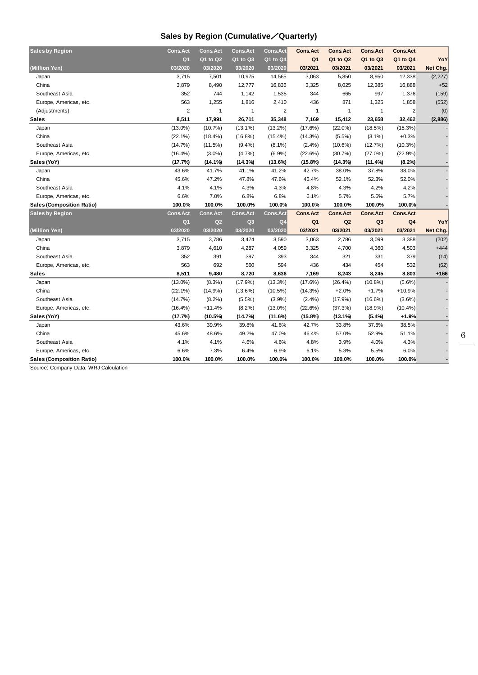### **Sales by Region (Cumulative**/**Quarterly)**

| <b>Sales by Region</b>    | <b>Cons.Act</b>         | <b>Cons.Act</b> | <b>Cons.Act</b> | <b>Cons.Act</b> | <b>Cons.Act</b> | <b>Cons.Act</b> | <b>Cons.Act</b> | <b>Cons.Act</b> |          |
|---------------------------|-------------------------|-----------------|-----------------|-----------------|-----------------|-----------------|-----------------|-----------------|----------|
|                           | Q <sub>1</sub>          | Q1 to Q2        | Q1 to Q3        | Q1 to Q4        | Q <sub>1</sub>  | Q1 to Q2        | Q1 to Q3        | Q1 to Q4        | YoY      |
| (Million Yen)             | 03/2020                 | 03/2020         | 03/2020         | 03/2020         | 03/2021         | 03/2021         | 03/2021         | 03/2021         | Net Chg. |
| Japan                     | 3,715                   | 7,501           | 10,975          | 14,565          | 3,063           | 5,850           | 8,950           | 12,338          | (2, 227) |
| China                     | 3,879                   | 8,490           | 12,777          | 16,836          | 3,325           | 8,025           | 12,385          | 16,888          | $+52$    |
| Southeast Asia            | 352                     | 744             | 1,142           | 1,535           | 344             | 665             | 997             | 1,376           | (159)    |
| Europe, Americas, etc.    | 563                     | 1,255           | 1,816           | 2,410           | 436             | 871             | 1,325           | 1,858           | (552)    |
| (Adjustments)             | $\overline{\mathbf{c}}$ | 1               | 1               | 2               | $\overline{1}$  | 1               |                 | $\overline{2}$  | (0)      |
| Sales                     | 8,511                   | 17,991          | 26,711          | 35,348          | 7,169           | 15,412          | 23,658          | 32,462          | (2,886)  |
| Japan                     | $(13.0\%)$              | $(10.7\%)$      | $(13.1\%)$      | $(13.2\%)$      | (17.6%)         | $(22.0\%)$      | (18.5%)         | (15.3%)         |          |
| China                     | $(22.1\%)$              | $(18.4\%)$      | $(16.8\%)$      | $(15.4\%)$      | (14.3%)         | $(5.5\%)$       | $(3.1\%)$       | $+0.3%$         |          |
| Southeast Asia            | (14.7%)                 | (11.5%)         | $(9.4\%)$       | $(8.1\%)$       | $(2.4\%)$       | $(10.6\%)$      | (12.7%)         | $(10.3\%)$      |          |
| Europe, Americas, etc.    | $(16.4\%)$              | $(3.0\%)$       | (4.7%)          | $(6.9\%)$       | (22.6%)         | (30.7%)         | $(27.0\%)$      | (22.9%)         |          |
| Sales (YoY)               | (17.7%)                 | (14.1%)         | (14.3%)         | (13.6%)         | (15.8%)         | (14.3%)         | (11.4%)         | (8.2%)          |          |
| Japan                     | 43.6%                   | 41.7%           | 41.1%           | 41.2%           | 42.7%           | 38.0%           | 37.8%           | 38.0%           |          |
| China                     | 45.6%                   | 47.2%           | 47.8%           | 47.6%           | 46.4%           | 52.1%           | 52.3%           | 52.0%           |          |
| Southeast Asia            | 4.1%                    | 4.1%            | 4.3%            | 4.3%            | 4.8%            | 4.3%            | 4.2%            | 4.2%            |          |
| Europe, Americas, etc.    | 6.6%                    | 7.0%            | 6.8%            | 6.8%            | 6.1%            | 5.7%            | 5.6%            | 5.7%            |          |
| Sales (Composition Ratio) | 100.0%                  | 100.0%          | 100.0%          | 100.0%          | 100.0%          | 100.0%          | 100.0%          | 100.0%          |          |
| <b>Sales by Region</b>    | <b>Cons.Act</b>         | <b>Cons.Act</b> | <b>Cons.Act</b> | <b>Cons.Act</b> | <b>Cons.Act</b> | <b>Cons.Act</b> | <b>Cons.Act</b> | <b>Cons.Act</b> |          |
|                           | Q <sub>1</sub>          | Q <sub>2</sub>  | Q <sub>3</sub>  | Q <sub>4</sub>  | Q <sub>1</sub>  | Q <sub>2</sub>  | Q3              | Q4              | YoY      |
| (Million Yen)             | 03/2020                 | 03/2020         | 03/2020         | 03/2020         | 03/2021         | 03/2021         | 03/2021         | 03/2021         | Net Chg. |
| Japan                     | 3,715                   | 3,786           | 3,474           | 3,590           | 3,063           | 2,786           | 3,099           | 3,388           | (202)    |
| China                     | 3,879                   | 4,610           | 4,287           | 4,059           | 3,325           | 4,700           | 4,360           | 4,503           | $+444$   |
| Southeast Asia            | 352                     | 391             | 397             | 393             | 344             | 321             | 331             | 379             | (14)     |
| Europe, Americas, etc.    | 563                     | 692             | 560             | 594             | 436             | 434             | 454             | 532             | (62)     |
| <b>Sales</b>              | 8,511                   | 9,480           | 8,720           | 8,636           | 7,169           | 8,243           | 8,245           | 8,803           | $+166$   |
| Japan                     | $(13.0\%)$              | $(8.3\%)$       | (17.9%)         | $(13.3\%)$      | (17.6%)         | $(26.4\%)$      | $(10.8\%)$      | $(5.6\%)$       |          |
| China                     | $(22.1\%)$              | $(14.9\%)$      | $(13.6\%)$      | $(10.5\%)$      | $(14.3\%)$      | $+2.0%$         | $+1.7%$         | $+10.9%$        |          |
| Southeast Asia            | $(14.7\%)$              | $(8.2\%)$       | $(5.5\%)$       | (3.9%)          | $(2.4\%)$       | (17.9%)         | $(16.6\%)$      | $(3.6\%)$       |          |
| Europe, Americas, etc.    | $(16.4\%)$              | $+11.4%$        | $(8.2\%)$       | $(13.0\%)$      | (22.6%)         | (37.3%)         | $(18.9\%)$      | $(10.4\%)$      |          |
| Sales (YoY)               | (17.7%)                 | $(10.5\%)$      | (14.7%)         | (11.6%)         | (15.8%)         | $(13.1\%)$      | $(5.4\%)$       | $+1.9%$         |          |
| Japan                     | 43.6%                   | 39.9%           | 39.8%           | 41.6%           | 42.7%           | 33.8%           | 37.6%           | 38.5%           |          |
| China                     | 45.6%                   | 48.6%           | 49.2%           | 47.0%           | 46.4%           | 57.0%           | 52.9%           | 51.1%           |          |
| Southeast Asia            | 4.1%                    | 4.1%            | 4.6%            | 4.6%            | 4.8%            | 3.9%            | 4.0%            | 4.3%            |          |
| Europe, Americas, etc.    | 6.6%                    | 7.3%            | 6.4%            | 6.9%            | 6.1%            | 5.3%            | 5.5%            | 6.0%            |          |
| Sales (Composition Ratio) | 100.0%                  | 100.0%          | 100.0%          | 100.0%          | 100.0%          | 100.0%          | 100.0%          | 100.0%          |          |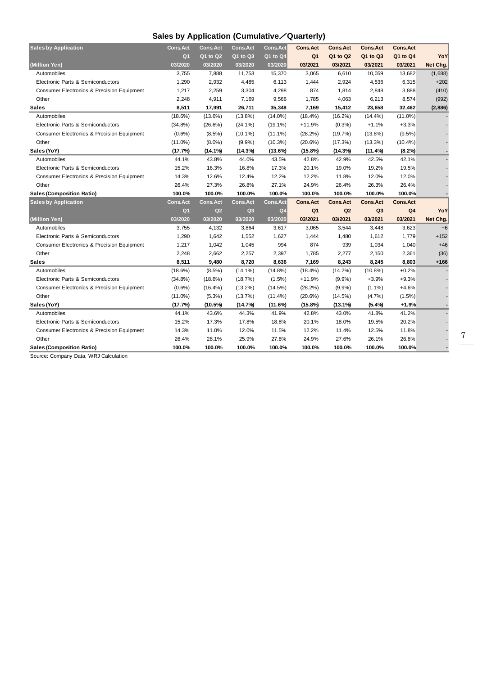### **Sales by Application (Cumulative**/**Quarterly)**

| <b>Sales by Application</b>                           | <b>Cons.Act</b> | <b>Cons.Act</b> | <b>Cons.Act</b> | <b>Cons.Act</b> | <b>Cons.Act</b> | <b>Cons.Act</b> | <b>Cons.Act</b> | <b>Cons.Act</b> |          |
|-------------------------------------------------------|-----------------|-----------------|-----------------|-----------------|-----------------|-----------------|-----------------|-----------------|----------|
|                                                       | Q <sub>1</sub>  | Q1 to Q2        | Q1 to Q3        | Q1 to Q4        | Q <sub>1</sub>  | Q1 to Q2        | Q1 to Q3        | Q1 to Q4        | YoY      |
| (Million Yen)                                         | 03/2020         | 03/2020         | 03/2020         | 03/2020         | 03/2021         | 03/2021         | 03/2021         | 03/2021         | Net Chg. |
| Automobiles                                           | 3,755           | 7,888           | 11,753          | 15,370          | 3,065           | 6,610           | 10,059          | 13,682          | (1,688)  |
| Electronic Parts & Semiconductors                     | 1,290           | 2,932           | 4,485           | 6,113           | 1,444           | 2,924           | 4,536           | 6,315           | $+202$   |
| Consumer Electronics & Precision Equipment            | 1,217           | 2,259           | 3,304           | 4,298           | 874             | 1,814           | 2,848           | 3,888           | (410)    |
| Other                                                 | 2,248           | 4,911           | 7,169           | 9,566           | 1,785           | 4,063           | 6,213           | 8,574           | (992)    |
| Sales                                                 | 8,511           | 17,991          | 26,711          | 35,348          | 7,169           | 15,412          | 23,658          | 32,462          | (2,886)  |
| Automobiles                                           | $(18.6\%)$      | $(13.6\%)$      | $(13.8\%)$      | $(14.0\%)$      | $(18.4\%)$      | $(16.2\%)$      | $(14.4\%)$      | $(11.0\%)$      |          |
| Electronic Parts & Semiconductors                     | $(34.8\%)$      | (26.6%)         | $(24.1\%)$      | $(19.1\%)$      | $+11.9%$        | (0.3%)          | $+1.1%$         | $+3.3%$         |          |
| <b>Consumer Electronics &amp; Precision Equipment</b> | $(0.6\%)$       | $(8.5\%)$       | $(10.1\%)$      | $(11.1\%)$      | $(28.2\%)$      | (19.7%)         | $(13.8\%)$      | $(9.5\%)$       |          |
| Other                                                 | $(11.0\%)$      | $(8.0\%)$       | (9.9%)          | $(10.3\%)$      | (20.6%)         | (17.3%)         | $(13.3\%)$      | $(10.4\%)$      |          |
| Sales (YoY)                                           | (17.7%)         | $(14.1\%)$      | (14.3%)         | (13.6%)         | (15.8%)         | (14.3%)         | (11.4%)         | (8.2%)          |          |
| Automobiles                                           | 44.1%           | 43.8%           | 44.0%           | 43.5%           | 42.8%           | 42.9%           | 42.5%           | 42.1%           |          |
| Electronic Parts & Semiconductors                     | 15.2%           | 16.3%           | 16.8%           | 17.3%           | 20.1%           | 19.0%           | 19.2%           | 19.5%           |          |
| <b>Consumer Electronics &amp; Precision Equipment</b> | 14.3%           | 12.6%           | 12.4%           | 12.2%           | 12.2%           | 11.8%           | 12.0%           | 12.0%           |          |
| Other                                                 | 26.4%           | 27.3%           | 26.8%           | 27.1%           | 24.9%           | 26.4%           | 26.3%           | 26.4%           |          |
| <b>Sales (Composition Ratio)</b>                      | 100.0%          | 100.0%          | 100.0%          | 100.0%          | 100.0%          | 100.0%          | 100.0%          | 100.0%          |          |
| <b>Sales by Application</b>                           | <b>Cons.Act</b> | <b>Cons.Act</b> | <b>Cons.Act</b> | <b>Cons.Act</b> | <b>Cons.Act</b> | <b>Cons.Act</b> | <b>Cons.Act</b> | <b>Cons.Act</b> |          |
|                                                       | Q <sub>1</sub>  | Q <sub>2</sub>  | Q <sub>3</sub>  | Q <sub>4</sub>  | Q <sub>1</sub>  | Q <sub>2</sub>  | Q3              | Q <sub>4</sub>  | YoY      |
| (Million Yen)                                         | 03/2020         | 03/2020         | 03/2020         | 03/2020         | 03/2021         | 03/2021         | 03/2021         | 03/2021         | Net Chg. |
| Automobiles                                           | 3,755           | 4,132           | 3,864           | 3,617           | 3,065           | 3,544           | 3,448           | 3,623           | $+6$     |
| Electronic Parts & Semiconductors                     | 1,290           | 1,642           | 1,552           | 1,627           | 1,444           | 1,480           | 1,612           | 1,779           | $+152$   |
| Consumer Electronics & Precision Equipment            | 1,217           | 1,042           | 1,045           | 994             | 874             | 939             | 1,034           | 1,040           | $+46$    |
| Other                                                 | 2,248           | 2,662           | 2,257           | 2,397           | 1,785           | 2,277           | 2,150           | 2,361           | (36)     |
| Sales                                                 | 8,511           | 9,480           | 8,720           | 8,636           | 7,169           | 8,243           | 8,245           | 8,803           | $+166$   |
| Automobiles                                           | $(18.6\%)$      | $(8.5\%)$       | $(14.1\%)$      | $(14.8\%)$      | $(18.4\%)$      | $(14.2\%)$      | $(10.8\%)$      | $+0.2%$         |          |
| Electronic Parts & Semiconductors                     | $(34.8\%)$      | (18.6%)         | (18.7%)         | $(1.5\%)$       | $+11.9%$        | $(9.9\%)$       | $+3.9%$         | $+9.3%$         |          |
| <b>Consumer Electronics &amp; Precision Equipment</b> | $(0.6\%)$       | $(16.4\%)$      | $(13.2\%)$      | (14.5%)         | (28.2%)         | $(9.9\%)$       | $(1.1\%)$       | $+4.6%$         |          |
| Other                                                 | $(11.0\%)$      | $(5.3\%)$       | (13.7%)         | $(11.4\%)$      | (20.6%)         | (14.5%)         | $(4.7\%)$       | $(1.5\%)$       |          |
| Sales (YoY)                                           | (17.7%)         | (10.5%)         | (14.7%)         | (11.6%)         | (15.8%)         | (13.1%)         | $(5.4\%)$       | $+1.9%$         |          |
|                                                       |                 |                 |                 |                 |                 |                 |                 |                 |          |
| Automobiles                                           | 44.1%           | 43.6%           | 44.3%           | 41.9%           | 42.8%           | 43.0%           | 41.8%           | 41.2%           |          |
| Electronic Parts & Semiconductors                     | 15.2%           | 17.3%           | 17.8%           | 18.8%           | 20.1%           | 18.0%           | 19.5%           | 20.2%           |          |
| Consumer Electronics & Precision Equipment            | 14.3%           | 11.0%           | 12.0%           | 11.5%           | 12.2%           | 11.4%           | 12.5%           | 11.8%           |          |
| Other                                                 | 26.4%           | 28.1%           | 25.9%           | 27.8%           | 24.9%           | 27.6%           | 26.1%           | 26.8%           |          |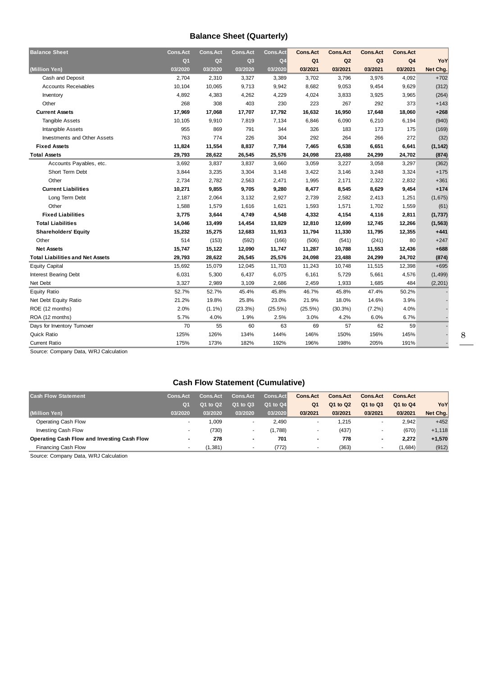### **Balance Sheet (Quarterly)**

| <b>Balance Sheet</b>                    | <b>Cons.Act</b> | <b>Cons.Act</b> | <b>Cons.Act</b> | <b>Cons.Act</b> | <b>Cons.Act</b> | <b>Cons.Act</b> | <b>Cons.Act</b> | <b>Cons.Act</b> |          |
|-----------------------------------------|-----------------|-----------------|-----------------|-----------------|-----------------|-----------------|-----------------|-----------------|----------|
|                                         | Q <sub>1</sub>  | Q2              | Q <sub>3</sub>  | Q <sub>4</sub>  | Q <sub>1</sub>  | Q2              | Q <sub>3</sub>  | Q <sub>4</sub>  | YoY      |
| (Million Yen)                           | 03/2020         | 03/2020         | 03/2020         | 03/2020         | 03/2021         | 03/2021         | 03/2021         | 03/2021         | Net Chg. |
| Cash and Deposit                        | 2,704           | 2,310           | 3,327           | 3,389           | 3,702           | 3,796           | 3,976           | 4,092           | $+702$   |
| <b>Accounts Receivables</b>             | 10,104          | 10,065          | 9,713           | 9,942           | 8,682           | 9,053           | 9,454           | 9,629           | (312)    |
| Inventory                               | 4,892           | 4,383           | 4,262           | 4,229           | 4,024           | 3,833           | 3,925           | 3,965           | (264)    |
| Other                                   | 268             | 308             | 403             | 230             | 223             | 267             | 292             | 373             | $+143$   |
| <b>Current Assets</b>                   | 17,969          | 17,068          | 17,707          | 17,792          | 16,632          | 16,950          | 17,648          | 18,060          | $+268$   |
| <b>Tangible Assets</b>                  | 10,105          | 9,910           | 7,819           | 7,134           | 6,846           | 6,090           | 6,210           | 6,194           | (940)    |
| Intangible Assets                       | 955             | 869             | 791             | 344             | 326             | 183             | 173             | 175             | (169)    |
| Investments and Other Assets            | 763             | 774             | 226             | 304             | 292             | 264             | 266             | 272             | (32)     |
| <b>Fixed Assets</b>                     | 11,824          | 11,554          | 8,837           | 7,784           | 7,465           | 6,538           | 6,651           | 6,641           | (1, 142) |
| <b>Total Assets</b>                     | 29,793          | 28,622          | 26,545          | 25,576          | 24,098          | 23,488          | 24,299          | 24,702          | (874)    |
| Accounts Payables, etc.                 | 3,692           | 3,837           | 3,837           | 3,660           | 3,059           | 3,227           | 3,058           | 3,297           | (362)    |
| Short Term Debt                         | 3,844           | 3,235           | 3,304           | 3,148           | 3,422           | 3,146           | 3,248           | 3,324           | $+175$   |
| Other                                   | 2,734           | 2,782           | 2,563           | 2,471           | 1,995           | 2,171           | 2,322           | 2,832           | $+361$   |
| <b>Current Liabilities</b>              | 10,271          | 9,855           | 9,705           | 9,280           | 8,477           | 8,545           | 8,629           | 9,454           | $+174$   |
| Long Term Debt                          | 2,187           | 2,064           | 3,132           | 2,927           | 2,739           | 2,582           | 2,413           | 1,251           | (1,675)  |
| Other                                   | 1,588           | 1,579           | 1,616           | 1,621           | 1,593           | 1,571           | 1,702           | 1,559           | (61)     |
| <b>Fixed Liabilities</b>                | 3,775           | 3,644           | 4,749           | 4,548           | 4,332           | 4,154           | 4,116           | 2,811           | (1,737)  |
| <b>Total Liabilities</b>                | 14,046          | 13,499          | 14,454          | 13,829          | 12,810          | 12,699          | 12,745          | 12,266          | (1, 563) |
| <b>Shareholders' Equity</b>             | 15,232          | 15,275          | 12,683          | 11,913          | 11,794          | 11,330          | 11,795          | 12,355          | $+441$   |
| Other                                   | 514             | (153)           | (592)           | (166)           | (506)           | (541)           | (241)           | 80              | $+247$   |
| <b>Net Assets</b>                       | 15,747          | 15,122          | 12,090          | 11,747          | 11,287          | 10,788          | 11,553          | 12,436          | $+688$   |
| <b>Total Liabilities and Net Assets</b> | 29,793          | 28,622          | 26,545          | 25,576          | 24,098          | 23,488          | 24,299          | 24,702          | (874)    |
| <b>Equity Capital</b>                   | 15,692          | 15,079          | 12,045          | 11,703          | 11,243          | 10,748          | 11,515          | 12,398          | $+695$   |
| <b>Interest Bearing Debt</b>            | 6,031           | 5,300           | 6,437           | 6,075           | 6,161           | 5,729           | 5,661           | 4,576           | (1, 499) |
| Net Debt                                | 3,327           | 2,989           | 3,109           | 2,686           | 2,459           | 1,933           | 1,685           | 484             | (2, 201) |
| <b>Equity Ratio</b>                     | 52.7%           | 52.7%           | 45.4%           | 45.8%           | 46.7%           | 45.8%           | 47.4%           | 50.2%           |          |
| Net Debt Equity Ratio                   | 21.2%           | 19.8%           | 25.8%           | 23.0%           | 21.9%           | 18.0%           | 14.6%           | 3.9%            |          |
| ROE (12 months)                         | 2.0%            | $(1.1\%)$       | (23.3%)         | (25.5%)         | (25.5%)         | $(30.3\%)$      | $(7.2\%)$       | 4.0%            |          |
| ROA (12 months)                         | 5.7%            | 4.0%            | 1.9%            | 2.5%            | 3.0%            | 4.2%            | 6.0%            | 6.7%            |          |
| Days for Inventory Turnover             | 70              | 55              | 60              | 63              | 69              | 57              | 62              | 59              |          |
| Quick Ratio                             | 125%            | 126%            | 134%            | 144%            | 146%            | 150%            | 156%            | 145%            |          |
| <b>Current Ratio</b>                    | 175%            | 173%            | 182%            | 192%            | 196%            | 198%            | 205%            | 191%            |          |

Source: Company Data, WRJ Calculation

### **Cash Flow Statement (Cumulative)**

| <b>Cash Flow Statement</b>                  | <b>Cons.Act</b>          | <b>Cons.Act</b> | <b>Cons.Act</b> | <b>Cons.Act</b> | <b>Cons.Act</b> | <b>Cons.Act</b> | <b>Cons.Act</b> | <b>Cons.Act</b> |          |
|---------------------------------------------|--------------------------|-----------------|-----------------|-----------------|-----------------|-----------------|-----------------|-----------------|----------|
|                                             | Q <sub>1</sub>           | Q1 to Q2        | Q1 to Q3        | Q1 to Q4        | Q <sub>1</sub>  | Q1 to Q2        | Q1 to Q3        | Q1 to Q4        | YoY      |
| (Million Yen)                               | 03/2020                  | 03/2020         | 03/2020         | 03/2020         | 03/2021         | 03/2021         | 03/2021         | 03/2021         | Net Chg. |
| Operating Cash Flow                         |                          | 1.009           |                 | 2,490           | . .             | .215            |                 | 2,942           | $+452$   |
| Investing Cash Flow                         |                          | (730)           |                 | (1,788)         |                 | (437)           |                 | (670)           | $+1,118$ |
| Operating Cash Flow and Investing Cash Flow | $\overline{\phantom{a}}$ | 278             | $\blacksquare$  | 701             |                 | 778             |                 | 2,272           | $+1,570$ |
| Financing Cash Flow                         |                          | (1,381)         |                 | (772)           |                 | (363)           |                 | (1,684)         | (912)    |